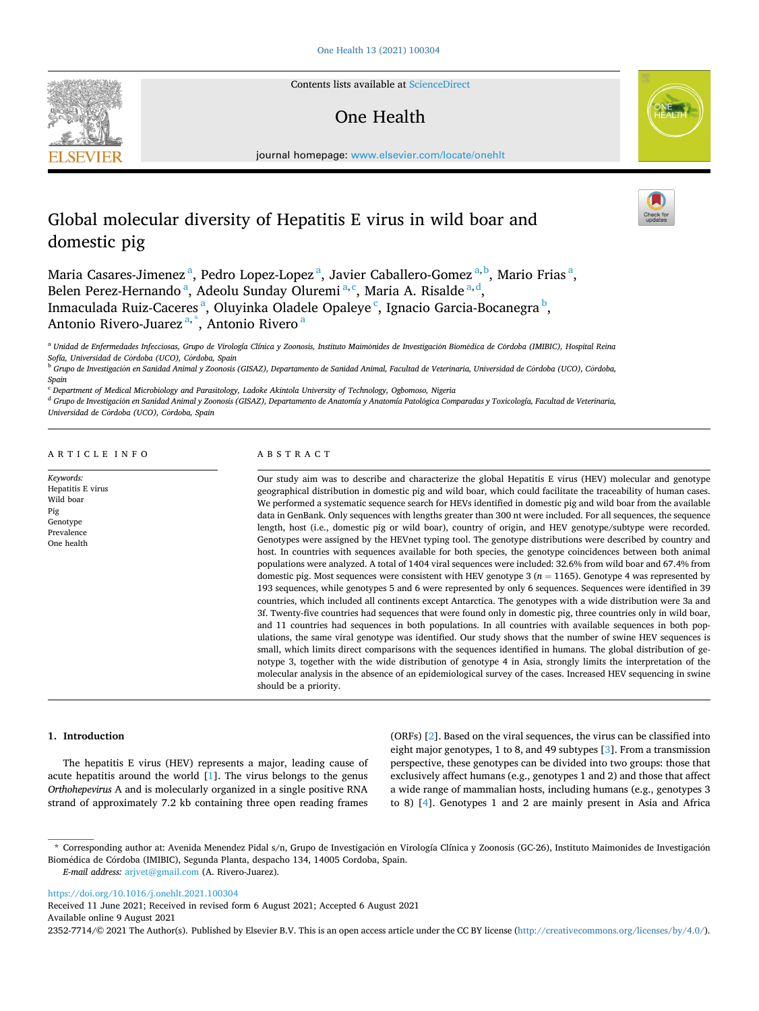

Contents lists available at [ScienceDirect](www.sciencedirect.com/science/journal/23527714)

# One Health



journal homepage: [www.elsevier.com/locate/onehlt](https://www.elsevier.com/locate/onehlt)

# Global molecular diversity of Hepatitis E virus in wild boar and domestic pig

Maria Casares-Jimenez<sup>a</sup>, Pedro Lopez-Lopez<sup>a</sup>, Javier Caballero-Gomez<sup>a, b</sup>, Mario Frias<sup>a</sup>, Belen Perez-Hernando<sup>a</sup>, Adeolu Sunday Oluremi<sup>a, c</sup>, Maria A. Risalde<sup>a, d</sup>, Inmaculada Ruiz-Caceres<sup>a</sup>, Oluyinka Oladele Opaleye<sup>c</sup>, Ignacio Garcia-Bocanegra<sup>b</sup>, Antonio Rivero-Juarez<sup>a,\*</sup>, Antonio Rivero<sup>a</sup>

<sup>a</sup> Unidad de Enfermedades Infecciosas, Grupo de Virología Clínica y Zoonosis, Instituto Maimónides de Investigación Biomédica de Córdoba (IMIBIC), Hospital Reina *Sofía, Universidad de C*´ *ordoba (UCO), C*´ *ordoba, Spain* 

<sup>b</sup> Grupo de Investigación en Sanidad Animal y Zoonosis (GISAZ), Departamento de Sanidad Animal, Facultad de Veterinaria, Universidad de Córdoba (UCO), Córdoba, *Spain* 

<sup>c</sup> *Department of Medical Microbiology and Parasitology, Ladoke Akintola University of Technology, Ogbomoso, Nigeria* 

<sup>d</sup> Grupo de Investigación en Sanidad Animal y Zoonosis (GISAZ), Departamento de Anatomía y Anatomía Patológica Comparadas y Toxicología, Facultad de Veterinaria, *Universidad de C*´ *ordoba (UCO), C*´ *ordoba, Spain* 

ARTICLE INFO

*Keywords:*  Hepatitis E virus Wild boar Pig Genotype Prevalence One health

### ABSTRACT

Our study aim was to describe and characterize the global Hepatitis E virus (HEV) molecular and genotype geographical distribution in domestic pig and wild boar, which could facilitate the traceability of human cases. We performed a systematic sequence search for HEVs identified in domestic pig and wild boar from the available data in GenBank. Only sequences with lengths greater than 300 nt were included. For all sequences, the sequence length, host (i.e., domestic pig or wild boar), country of origin, and HEV genotype/subtype were recorded. Genotypes were assigned by the HEVnet typing tool. The genotype distributions were described by country and host. In countries with sequences available for both species, the genotype coincidences between both animal populations were analyzed. A total of 1404 viral sequences were included: 32.6% from wild boar and 67.4% from domestic pig. Most sequences were consistent with HEV genotype 3 ( $n = 1165$ ). Genotype 4 was represented by 193 sequences, while genotypes 5 and 6 were represented by only 6 sequences. Sequences were identified in 39 countries, which included all continents except Antarctica. The genotypes with a wide distribution were 3a and 3f. Twenty-five countries had sequences that were found only in domestic pig, three countries only in wild boar, and 11 countries had sequences in both populations. In all countries with available sequences in both populations, the same viral genotype was identified. Our study shows that the number of swine HEV sequences is small, which limits direct comparisons with the sequences identified in humans. The global distribution of genotype 3, together with the wide distribution of genotype 4 in Asia, strongly limits the interpretation of the molecular analysis in the absence of an epidemiological survey of the cases. Increased HEV sequencing in swine should be a priority.

## **1. Introduction**

The hepatitis E virus (HEV) represents a major, leading cause of acute hepatitis around the world [\[1\]](#page-7-0). The virus belongs to the genus *Orthohepevirus* A and is molecularly organized in a single positive RNA strand of approximately 7.2 kb containing three open reading frames (ORFs) [\[2\]](#page-7-0). Based on the viral sequences, the virus can be classified into eight major genotypes, 1 to 8, and 49 subtypes [[3](#page-7-0)]. From a transmission perspective, these genotypes can be divided into two groups: those that exclusively affect humans (e.g., genotypes 1 and 2) and those that affect a wide range of mammalian hosts, including humans (e.g., genotypes 3 to 8) [[4](#page-7-0)]. Genotypes 1 and 2 are mainly present in Asia and Africa

*E-mail address:* [arjvet@gmail.com](mailto:arjvet@gmail.com) (A. Rivero-Juarez).

<https://doi.org/10.1016/j.onehlt.2021.100304>

Received 11 June 2021; Received in revised form 6 August 2021; Accepted 6 August 2021

Available online 9 August 2021

2352-7714/© 2021 The Author(s). Published by Elsevier B.V. This is an open access article under the CC BY license [\(http://creativecommons.org/licenses/by/4.0/\)](http://creativecommons.org/licenses/by/4.0/).

<sup>\*</sup> Corresponding author at: Avenida Menendez Pidal s/n, Grupo de Investigación en Virología Clínica y Zoonosis (GC-26), Instituto Maimonides de Investigación Biomédica de Córdoba (IMIBIC), Segunda Planta, despacho 134, 14005 Cordoba, Spain.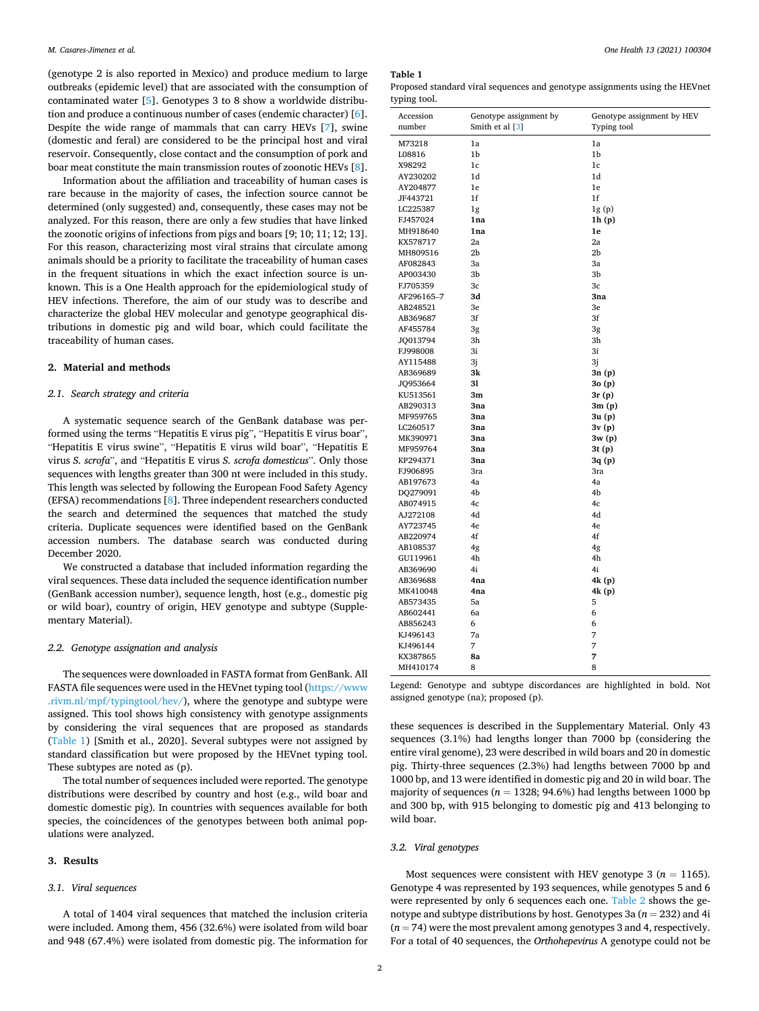(genotype 2 is also reported in Mexico) and produce medium to large outbreaks (epidemic level) that are associated with the consumption of contaminated water [[5](#page-7-0)]. Genotypes 3 to 8 show a worldwide distribution and produce a continuous number of cases (endemic character) [[6](#page-7-0)]. Despite the wide range of mammals that can carry HEVs [[7](#page-7-0)], swine (domestic and feral) are considered to be the principal host and viral reservoir. Consequently, close contact and the consumption of pork and boar meat constitute the main transmission routes of zoonotic HEVs [[8](#page-7-0)].

Information about the affiliation and traceability of human cases is rare because in the majority of cases, the infection source cannot be determined (only suggested) and, consequently, these cases may not be analyzed. For this reason, there are only a few studies that have linked the zoonotic origins of infections from pigs and boars [9; 10; 11; 12; 13]. For this reason, characterizing most viral strains that circulate among animals should be a priority to facilitate the traceability of human cases in the frequent situations in which the exact infection source is unknown. This is a One Health approach for the epidemiological study of HEV infections. Therefore, the aim of our study was to describe and characterize the global HEV molecular and genotype geographical distributions in domestic pig and wild boar, which could facilitate the traceability of human cases.

## **2. Material and methods**

## *2.1. Search strategy and criteria*

A systematic sequence search of the GenBank database was performed using the terms "Hepatitis E virus pig", "Hepatitis E virus boar", "Hepatitis E virus swine", "Hepatitis E virus wild boar", "Hepatitis E virus *S. scrofa*", and "Hepatitis E virus *S. scrofa domesticus*". Only those sequences with lengths greater than 300 nt were included in this study. This length was selected by following the European Food Safety Agency (EFSA) recommendations [[8](#page-7-0)]. Three independent researchers conducted the search and determined the sequences that matched the study criteria. Duplicate sequences were identified based on the GenBank accession numbers. The database search was conducted during December 2020.

We constructed a database that included information regarding the viral sequences. These data included the sequence identification number (GenBank accession number), sequence length, host (e.g., domestic pig or wild boar), country of origin, HEV genotype and subtype (Supplementary Material).

#### *2.2. Genotype assignation and analysis*

The sequences were downloaded in FASTA format from GenBank. All FASTA file sequences were used in the HEVnet typing tool [\(https://www](https://www.rivm.nl/mpf/typingtool/hev/)  [.rivm.nl/mpf/typingtool/hev/\)](https://www.rivm.nl/mpf/typingtool/hev/), where the genotype and subtype were assigned. This tool shows high consistency with genotype assignments by considering the viral sequences that are proposed as standards (Table 1) [Smith et al., 2020]. Several subtypes were not assigned by standard classification but were proposed by the HEVnet typing tool. These subtypes are noted as (p).

The total number of sequences included were reported. The genotype distributions were described by country and host (e.g., wild boar and domestic domestic pig). In countries with sequences available for both species, the coincidences of the genotypes between both animal populations were analyzed.

#### **3. Results**

## *3.1. Viral sequences*

A total of 1404 viral sequences that matched the inclusion criteria were included. Among them, 456 (32.6%) were isolated from wild boar and 948 (67.4%) were isolated from domestic pig. The information for

#### **Table 1**

Proposed standard viral sequences and genotype assignments using the HEVnet typing tool.

| Accession  | Genotype assignment by | Genotype assignment by HEV |
|------------|------------------------|----------------------------|
| number     | Smith et al [3]        | Typing tool                |
| M73218     | 1a                     | 1a                         |
| L08816     | 1b                     | 1b                         |
| X98292     | 1c                     | 1c                         |
| AY230202   | 1d                     | 1d                         |
| AY204877   | 1e                     | 1e                         |
| JF443721   | 1f                     | 1f                         |
| LC225387   | 1g                     | 1g(p)                      |
| FJ457024   | 1na                    | 1h(p)                      |
| MH918640   | 1na                    | 1e                         |
| KX578717   | 2a                     | 2a                         |
| MH809516   | 2 <sub>b</sub>         | 2 <sub>b</sub>             |
| AF082843   | Зa                     | Зa                         |
| AP003430   | 3b                     | 3b                         |
| FJ705359   | Зc                     | 3c                         |
| AF296165-7 | 3d                     | 3na                        |
| AB248521   | 3e                     | 3e                         |
| AB369687   | 3f                     | 3f                         |
| AF455784   | 3g                     | 3g                         |
| JQ013794   | Зh                     | Зh                         |
| FJ998008   | 3i                     | 3i                         |
| AY115488   | 3j                     | 3j                         |
| AB369689   | 3k                     | 3n (p)                     |
| JQ953664   | 31                     | 30(p)                      |
| KU513561   | 3m                     | 3r (p)                     |
| AB290313   | 3na                    | 3m (p)                     |
| MF959765   | 3na                    | 3u (p)                     |
| LC260517   | 3na                    | 3v (p)                     |
| MK390971   | 3na                    | 3w (p)                     |
| MF959764   | 3na                    | 3t (p)                     |
| KP294371   | 3na                    | 3q (p)                     |
| FJ906895   | 3ra                    | 3ra                        |
| AB197673   | 4a                     | 4a                         |
| DQ279091   | 4b                     | 4b                         |
| AB074915   | 4c                     | 4c                         |
| AJ272108   | 4d                     | 4d                         |
| AY723745   | 4e                     | 4e                         |
| AB220974   | 4f                     | 4f                         |
| AB108537   | 4g                     | 4g                         |
| GU119961   | 4h                     | 4h                         |
| AB369690   | 4i                     | 4i                         |
| AB369688   | 4na                    | 4k (p)                     |
| MK410048   | 4na                    | 4k (p)                     |
| AB573435   | 5a                     | 5                          |
| AB602441   | 6a                     | 6                          |
| AB856243   | 6                      | 6                          |
| KJ496143   | 7a                     | 7                          |
| KJ496144   | 7                      | 7                          |
| KX387865   | 8a                     | 7                          |
| MH410174   | 8                      | 8                          |

Legend: Genotype and subtype discordances are highlighted in bold. Not assigned genotype (na); proposed (p).

these sequences is described in the Supplementary Material. Only 43 sequences (3.1%) had lengths longer than 7000 bp (considering the entire viral genome), 23 were described in wild boars and 20 in domestic pig. Thirty-three sequences (2.3%) had lengths between 7000 bp and 1000 bp, and 13 were identified in domestic pig and 20 in wild boar. The majority of sequences ( $n = 1328$ ; 94.6%) had lengths between 1000 bp and 300 bp, with 915 belonging to domestic pig and 413 belonging to wild boar.

## *3.2. Viral genotypes*

Most sequences were consistent with HEV genotype  $3$  ( $n = 1165$ ). Genotype 4 was represented by 193 sequences, while genotypes 5 and 6 were represented by only 6 sequences each one. [Table 2](#page-2-0) shows the genotype and subtype distributions by host. Genotypes 3a (*n* = 232) and 4i  $(n = 74)$  were the most prevalent among genotypes 3 and 4, respectively. For a total of 40 sequences, the *Orthohepevirus* A genotype could not be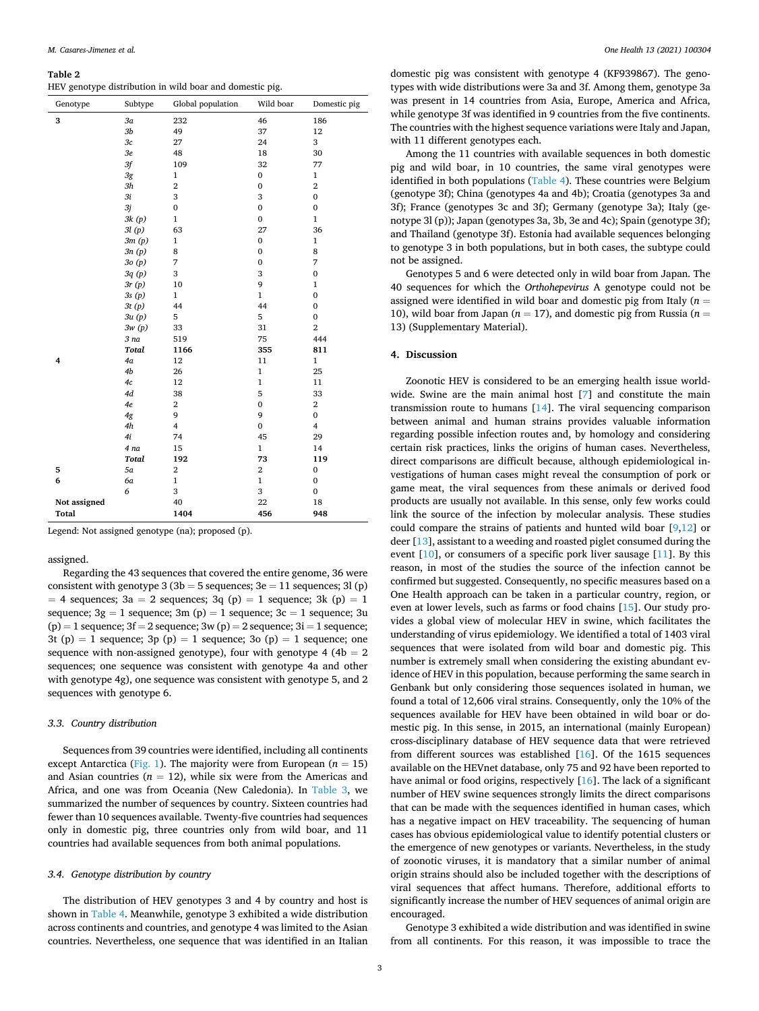### <span id="page-2-0"></span>**Table 2**

|  |  | HEV genotype distribution in wild boar and domestic pig. |  |  |  |  |  |  |
|--|--|----------------------------------------------------------|--|--|--|--|--|--|
|--|--|----------------------------------------------------------|--|--|--|--|--|--|

| Genotype     | Subtype         | Global population       | Wild boar        | Domestic pig            |
|--------------|-----------------|-------------------------|------------------|-------------------------|
| 3            | 3a              | 232                     | 46               | 186                     |
|              | 3 <sub>b</sub>  | 49                      | 37               | 12                      |
|              | 3c              | 27                      | 24               | 3                       |
|              | 3 <sub>e</sub>  | 48                      | 18               | 30                      |
|              | 3f              | 109                     | 32               | 77                      |
|              | 3g              | $\mathbf{1}$            | $\boldsymbol{0}$ | $\mathbf{1}$            |
|              | 3h              | $\overline{2}$          | $\boldsymbol{0}$ | $\boldsymbol{2}$        |
|              | 3i              | 3                       | 3                | $\mathbf{0}$            |
|              | 3j              | $\mathbf{0}$            | $\boldsymbol{0}$ | $\mathbf{0}$            |
|              | 3k(p)           | $\mathbf{1}$            | $\boldsymbol{0}$ | $\mathbf{1}$            |
|              | 3l(p)           | 63                      | 27               | 36                      |
|              | 3m(p)           | $\mathbf 1$             | $\boldsymbol{0}$ | $\mathbf{1}$            |
|              | 3n(p)           | 8                       | $\boldsymbol{0}$ | 8                       |
|              | 3o(p)           | 7                       | $\boldsymbol{0}$ | 7                       |
|              | 3q(p)           | 3                       | 3                | $\mathbf 0$             |
|              | 3r(p)           | 10                      | 9                | 1                       |
|              | 3s(p)           | $\mathbf{1}$            | $\mathbf{1}$     | $\mathbf{0}$            |
|              | 3t(p)           | 44                      | 44               | $\bf{0}$                |
|              | 3u(p)           | 5                       | 5                | $\bf{0}$                |
|              | 3w(p)           | 33                      | 31               | $\boldsymbol{2}$        |
|              | 3 <sub>na</sub> | 519                     | 75               | 444                     |
|              | <b>Total</b>    | 1166                    | 355              | 811                     |
| 4            | 4a              | 12                      | 11               | 1                       |
|              | 4b              | 26                      | $\mathbf 1$      | 25                      |
|              | 4c              | 12                      | $\mathbf{1}$     | 11                      |
|              | 4d              | 38                      | 5                | 33                      |
|              | 4e              | $\boldsymbol{2}$        | $\boldsymbol{0}$ | $\,2$                   |
|              | 4g              | 9                       | 9                | $\bf{0}$                |
|              | 4h              | $\overline{\mathbf{4}}$ | $\mathbf{0}$     | $\overline{\mathbf{4}}$ |
|              | 4i              | 74                      | 45               | 29                      |
|              | 4 na            | 15                      | $\mathbf{1}$     | 14                      |
|              | <b>Total</b>    | 192                     | 73               | 119                     |
| 5            | 5a              | $\overline{2}$          | $\,2$            | $\mathbf{0}$            |
| 6            | 6a              | $\mathbf{1}$            | $\mathbf{1}$     | $\bf{0}$                |
|              | 6               | 3                       | 3                | $\bf{0}$                |
| Not assigned |                 | 40                      | $22\,$           | 18                      |
| <b>Total</b> |                 | 1404                    | 456              | 948                     |

Legend: Not assigned genotype (na); proposed (p).

assigned.

Regarding the 43 sequences that covered the entire genome, 36 were consistent with genotype  $3(3b = 5$  sequences;  $3e = 11$  sequences;  $3l(p)$  $= 4$  sequences; 3a  $= 2$  sequences; 3q (p)  $= 1$  sequence; 3k (p)  $= 1$ sequence;  $3g = 1$  sequence;  $3m(p) = 1$  sequence;  $3c = 1$  sequence; 3u  $(p) = 1$  sequence;  $3f = 2$  sequence;  $3w(p) = 2$  sequence;  $3i = 1$  sequence; 3t (p) = 1 sequence; 3p (p) = 1 sequence; 3o (p) = 1 sequence; one sequence with non-assigned genotype), four with genotype 4 (4 $b = 2$ sequences; one sequence was consistent with genotype 4a and other with genotype 4g), one sequence was consistent with genotype 5, and 2 sequences with genotype 6.

## *3.3. Country distribution*

Sequences from 39 countries were identified, including all continents except Antarctica [\(Fig. 1\)](#page-3-0). The majority were from European ( $n = 15$ ) and Asian countries  $(n = 12)$ , while six were from the Americas and Africa, and one was from Oceania (New Caledonia). In [Table 3,](#page-4-0) we summarized the number of sequences by country. Sixteen countries had fewer than 10 sequences available. Twenty-five countries had sequences only in domestic pig, three countries only from wild boar, and 11 countries had available sequences from both animal populations.

## *3.4. Genotype distribution by country*

The distribution of HEV genotypes 3 and 4 by country and host is shown in [Table 4.](#page-5-0) Meanwhile, genotype 3 exhibited a wide distribution across continents and countries, and genotype 4 was limited to the Asian countries. Nevertheless, one sequence that was identified in an Italian

domestic pig was consistent with genotype 4 (KF939867). The genotypes with wide distributions were 3a and 3f. Among them, genotype 3a was present in 14 countries from Asia, Europe, America and Africa, while genotype 3f was identified in 9 countries from the five continents. The countries with the highest sequence variations were Italy and Japan, with 11 different genotypes each.

Among the 11 countries with available sequences in both domestic pig and wild boar, in 10 countries, the same viral genotypes were identified in both populations [\(Table 4\)](#page-5-0). These countries were Belgium (genotype 3f); China (genotypes 4a and 4b); Croatia (genotypes 3a and 3f); France (genotypes 3c and 3f); Germany (genotype 3a); Italy (genotype 3l (p)); Japan (genotypes 3a, 3b, 3e and 4c); Spain (genotype 3f); and Thailand (genotype 3f). Estonia had available sequences belonging to genotype 3 in both populations, but in both cases, the subtype could not be assigned.

Genotypes 5 and 6 were detected only in wild boar from Japan. The 40 sequences for which the *Orthohepevirus* A genotype could not be assigned were identified in wild boar and domestic pig from Italy (*n* = 10), wild boar from Japan ( $n = 17$ ), and domestic pig from Russia ( $n = 16$ ) 13) (Supplementary Material).

### **4. Discussion**

Zoonotic HEV is considered to be an emerging health issue worldwide. Swine are the main animal host [\[7\]](#page-7-0) and constitute the main transmission route to humans [[14\]](#page-7-0). The viral sequencing comparison between animal and human strains provides valuable information regarding possible infection routes and, by homology and considering certain risk practices, links the origins of human cases. Nevertheless, direct comparisons are difficult because, although epidemiological investigations of human cases might reveal the consumption of pork or game meat, the viral sequences from these animals or derived food products are usually not available. In this sense, only few works could link the source of the infection by molecular analysis. These studies could compare the strains of patients and hunted wild boar [\[9,12\]](#page-7-0) or deer [\[13](#page-7-0)], assistant to a weeding and roasted piglet consumed during the event [[10\]](#page-7-0), or consumers of a specific pork liver sausage [[11\]](#page-7-0). By this reason, in most of the studies the source of the infection cannot be confirmed but suggested. Consequently, no specific measures based on a One Health approach can be taken in a particular country, region, or even at lower levels, such as farms or food chains [[15\]](#page-7-0). Our study provides a global view of molecular HEV in swine, which facilitates the understanding of virus epidemiology. We identified a total of 1403 viral sequences that were isolated from wild boar and domestic pig. This number is extremely small when considering the existing abundant evidence of HEV in this population, because performing the same search in Genbank but only considering those sequences isolated in human, we found a total of 12,606 viral strains. Consequently, only the 10% of the sequences available for HEV have been obtained in wild boar or domestic pig. In this sense, in 2015, an international (mainly European) cross-disciplinary database of HEV sequence data that were retrieved from different sources was established [[16\]](#page-7-0). Of the 1615 sequences available on the HEVnet database, only 75 and 92 have been reported to have animal or food origins, respectively [\[16](#page-7-0)]. The lack of a significant number of HEV swine sequences strongly limits the direct comparisons that can be made with the sequences identified in human cases, which has a negative impact on HEV traceability. The sequencing of human cases has obvious epidemiological value to identify potential clusters or the emergence of new genotypes or variants. Nevertheless, in the study of zoonotic viruses, it is mandatory that a similar number of animal origin strains should also be included together with the descriptions of viral sequences that affect humans. Therefore, additional efforts to significantly increase the number of HEV sequences of animal origin are encouraged.

Genotype 3 exhibited a wide distribution and was identified in swine from all continents. For this reason, it was impossible to trace the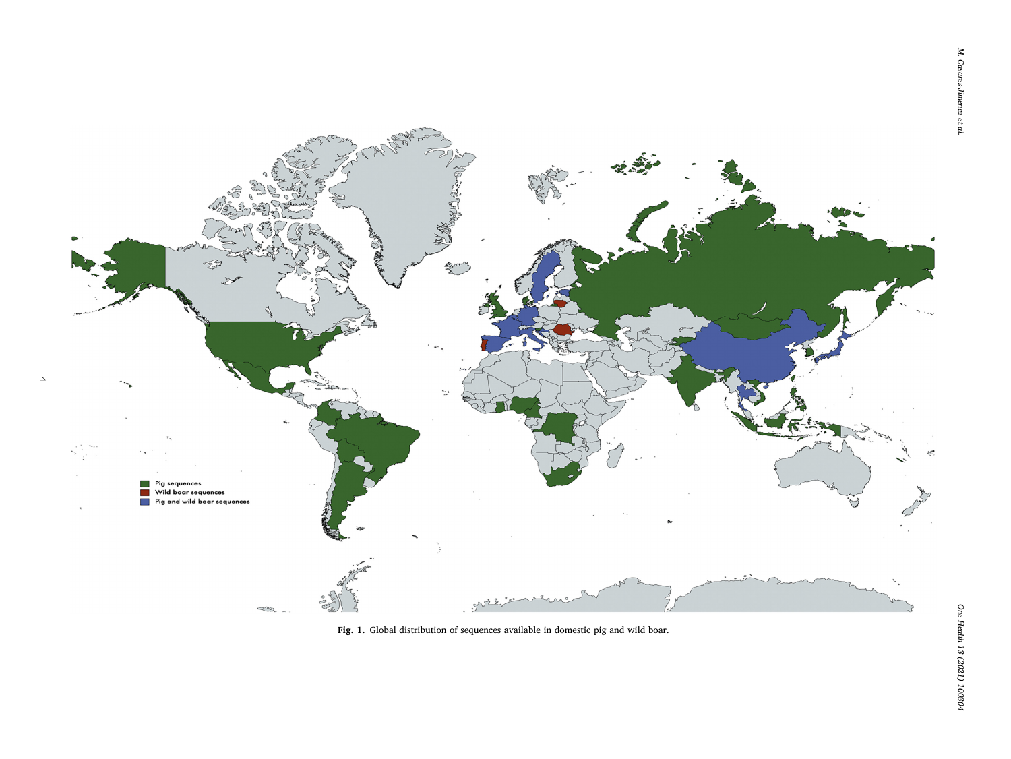<span id="page-3-0"></span>

 $\rightarrow$ 

**Fig. 1.** Global distribution of sequences available in domestic pig and wild boar.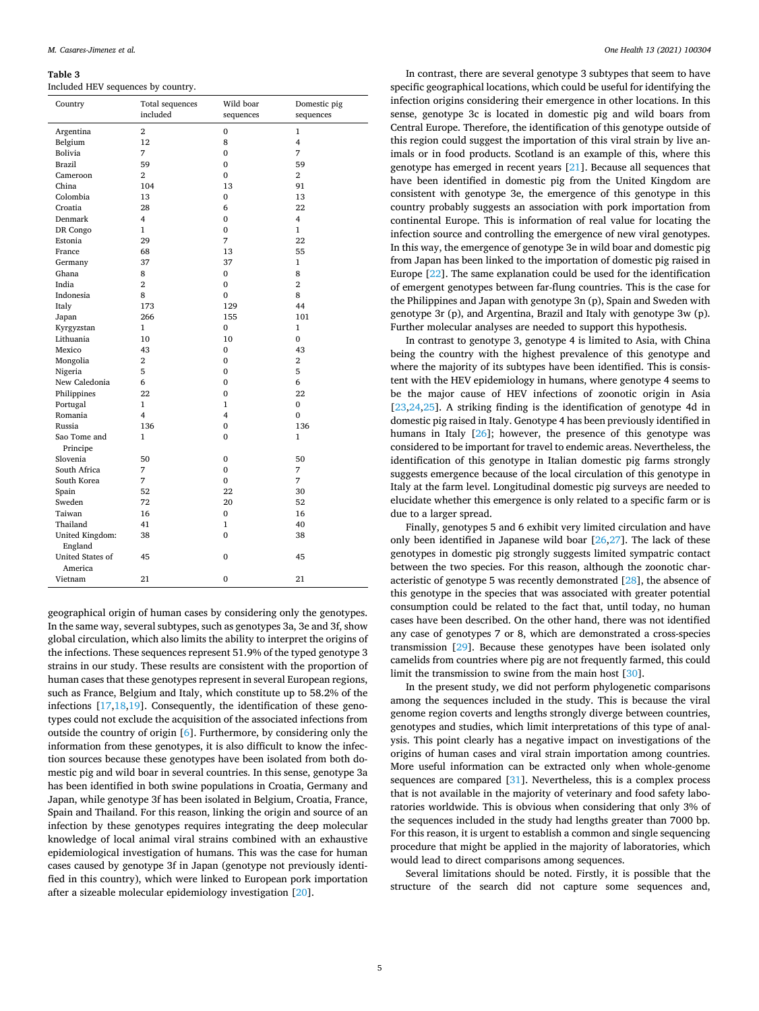#### <span id="page-4-0"></span>**Table 3**

Included HEV sequences by country.

| Country                            | Total sequences<br>included | Wild boar<br>sequences | Domestic pig<br>sequences |  |  |  |  |  |
|------------------------------------|-----------------------------|------------------------|---------------------------|--|--|--|--|--|
| Argentina                          | $\overline{2}$              | 0                      | 1                         |  |  |  |  |  |
| Belgium                            | 12                          | 8                      | $\overline{4}$            |  |  |  |  |  |
| Bolivia                            | 7                           | 0                      | 7                         |  |  |  |  |  |
| Brazil                             | 59                          | 0                      | 59                        |  |  |  |  |  |
| Cameroon                           | $\overline{2}$              | 0                      | 2                         |  |  |  |  |  |
| China                              | 104                         | 13                     | 91                        |  |  |  |  |  |
| Colombia                           | 13                          | 0                      | 13                        |  |  |  |  |  |
| Croatia                            | 28                          | 6                      | 22                        |  |  |  |  |  |
| Denmark                            | 4                           | 0                      | 4                         |  |  |  |  |  |
| DR Congo                           | $\mathbf{1}$                | 0                      | $\mathbf{1}$              |  |  |  |  |  |
| Estonia                            | 29                          | 7                      | 22                        |  |  |  |  |  |
| France                             | 68                          | 13                     | 55                        |  |  |  |  |  |
| Germany                            | 37                          | 37                     | 1                         |  |  |  |  |  |
| Ghana                              | 8                           | 0                      | 8                         |  |  |  |  |  |
| India                              | $\overline{2}$              | 0                      | $\overline{2}$            |  |  |  |  |  |
| Indonesia                          | 8                           | $\mathbf 0$            | 8                         |  |  |  |  |  |
| Italy                              | 173                         | 129                    | 44                        |  |  |  |  |  |
| Japan                              | 266                         | 155                    | 101                       |  |  |  |  |  |
| Kyrgyzstan                         | $\mathbf{1}$                | 0                      | 1                         |  |  |  |  |  |
| Lithuania                          | 10                          | 10                     | $\mathbf{0}$              |  |  |  |  |  |
| Mexico                             | 43                          | 0                      | 43                        |  |  |  |  |  |
| Mongolia                           | 2                           | 0                      | 2                         |  |  |  |  |  |
| Nigeria                            | 5                           | $\overline{0}$         | 5                         |  |  |  |  |  |
| New Caledonia                      | 6                           | $\mathbf{0}$           | 6                         |  |  |  |  |  |
| Philippines                        | 22                          | $\mathbf{0}$           | 22                        |  |  |  |  |  |
| Portugal                           | $\mathbf{1}$                | $\mathbf{1}$           | $\mathbf{0}$              |  |  |  |  |  |
| Romania                            | 4                           | 4                      | $\mathbf{0}$              |  |  |  |  |  |
| Russia                             | 136                         | $\mathbf{0}$           | 136                       |  |  |  |  |  |
| Sao Tome and<br>Principe           | $\mathbf{1}$                | $\mathbf{0}$           | $\mathbf{1}$              |  |  |  |  |  |
| Slovenia                           | 50                          | 0                      | 50                        |  |  |  |  |  |
| South Africa                       | 7                           | 0                      | 7                         |  |  |  |  |  |
| South Korea                        | 7                           | $\mathbf{0}$           | 7                         |  |  |  |  |  |
| Spain                              | 52                          | 22                     | 30                        |  |  |  |  |  |
| Sweden                             | 72                          | 20                     | 52                        |  |  |  |  |  |
| Taiwan                             | 16                          | 0                      | 16                        |  |  |  |  |  |
| Thailand                           | 41                          | 1                      | 40                        |  |  |  |  |  |
| United Kingdom:<br>England         | 38                          | $\bf{0}$               | 38                        |  |  |  |  |  |
| <b>United States of</b><br>America | 45                          | $\mathbf{0}$           | 45                        |  |  |  |  |  |
| Vietnam                            | 21                          | $\mathbf{0}$           | 21                        |  |  |  |  |  |

geographical origin of human cases by considering only the genotypes. In the same way, several subtypes, such as genotypes 3a, 3e and 3f, show global circulation, which also limits the ability to interpret the origins of the infections. These sequences represent 51.9% of the typed genotype 3 strains in our study. These results are consistent with the proportion of human cases that these genotypes represent in several European regions, such as France, Belgium and Italy, which constitute up to 58.2% of the infections [[17,18,19](#page-7-0)]. Consequently, the identification of these genotypes could not exclude the acquisition of the associated infections from outside the country of origin [\[6\]](#page-7-0). Furthermore, by considering only the information from these genotypes, it is also difficult to know the infection sources because these genotypes have been isolated from both domestic pig and wild boar in several countries. In this sense, genotype 3a has been identified in both swine populations in Croatia, Germany and Japan, while genotype 3f has been isolated in Belgium, Croatia, France, Spain and Thailand. For this reason, linking the origin and source of an infection by these genotypes requires integrating the deep molecular knowledge of local animal viral strains combined with an exhaustive epidemiological investigation of humans. This was the case for human cases caused by genotype 3f in Japan (genotype not previously identified in this country), which were linked to European pork importation after a sizeable molecular epidemiology investigation [\[20](#page-7-0)].

In contrast, there are several genotype 3 subtypes that seem to have specific geographical locations, which could be useful for identifying the infection origins considering their emergence in other locations. In this sense, genotype 3c is located in domestic pig and wild boars from Central Europe. Therefore, the identification of this genotype outside of this region could suggest the importation of this viral strain by live animals or in food products. Scotland is an example of this, where this genotype has emerged in recent years [[21\]](#page-7-0). Because all sequences that have been identified in domestic pig from the United Kingdom are consistent with genotype 3e, the emergence of this genotype in this country probably suggests an association with pork importation from continental Europe. This is information of real value for locating the infection source and controlling the emergence of new viral genotypes. In this way, the emergence of genotype 3e in wild boar and domestic pig from Japan has been linked to the importation of domestic pig raised in Europe [\[22](#page-7-0)]. The same explanation could be used for the identification of emergent genotypes between far-flung countries. This is the case for the Philippines and Japan with genotype 3n (p), Spain and Sweden with genotype 3r (p), and Argentina, Brazil and Italy with genotype 3w (p). Further molecular analyses are needed to support this hypothesis.

In contrast to genotype 3, genotype 4 is limited to Asia, with China being the country with the highest prevalence of this genotype and where the majority of its subtypes have been identified. This is consistent with the HEV epidemiology in humans, where genotype 4 seems to be the major cause of HEV infections of zoonotic origin in Asia [[23,24,25](#page-7-0)]. A striking finding is the identification of genotype 4d in domestic pig raised in Italy. Genotype 4 has been previously identified in humans in Italy [\[26](#page-7-0)]; however, the presence of this genotype was considered to be important for travel to endemic areas. Nevertheless, the identification of this genotype in Italian domestic pig farms strongly suggests emergence because of the local circulation of this genotype in Italy at the farm level. Longitudinal domestic pig surveys are needed to elucidate whether this emergence is only related to a specific farm or is due to a larger spread.

Finally, genotypes 5 and 6 exhibit very limited circulation and have only been identified in Japanese wild boar [\[26,27](#page-7-0)]. The lack of these genotypes in domestic pig strongly suggests limited sympatric contact between the two species. For this reason, although the zoonotic characteristic of genotype 5 was recently demonstrated [[28\]](#page-7-0), the absence of this genotype in the species that was associated with greater potential consumption could be related to the fact that, until today, no human cases have been described. On the other hand, there was not identified any case of genotypes 7 or 8, which are demonstrated a cross-species transmission [\[29](#page-7-0)]. Because these genotypes have been isolated only camelids from countries where pig are not frequently farmed, this could limit the transmission to swine from the main host [[30\]](#page-7-0).

In the present study, we did not perform phylogenetic comparisons among the sequences included in the study. This is because the viral genome region coverts and lengths strongly diverge between countries, genotypes and studies, which limit interpretations of this type of analysis. This point clearly has a negative impact on investigations of the origins of human cases and viral strain importation among countries. More useful information can be extracted only when whole-genome sequences are compared [\[31](#page-7-0)]. Nevertheless, this is a complex process that is not available in the majority of veterinary and food safety laboratories worldwide. This is obvious when considering that only 3% of the sequences included in the study had lengths greater than 7000 bp. For this reason, it is urgent to establish a common and single sequencing procedure that might be applied in the majority of laboratories, which would lead to direct comparisons among sequences.

Several limitations should be noted. Firstly, it is possible that the structure of the search did not capture some sequences and,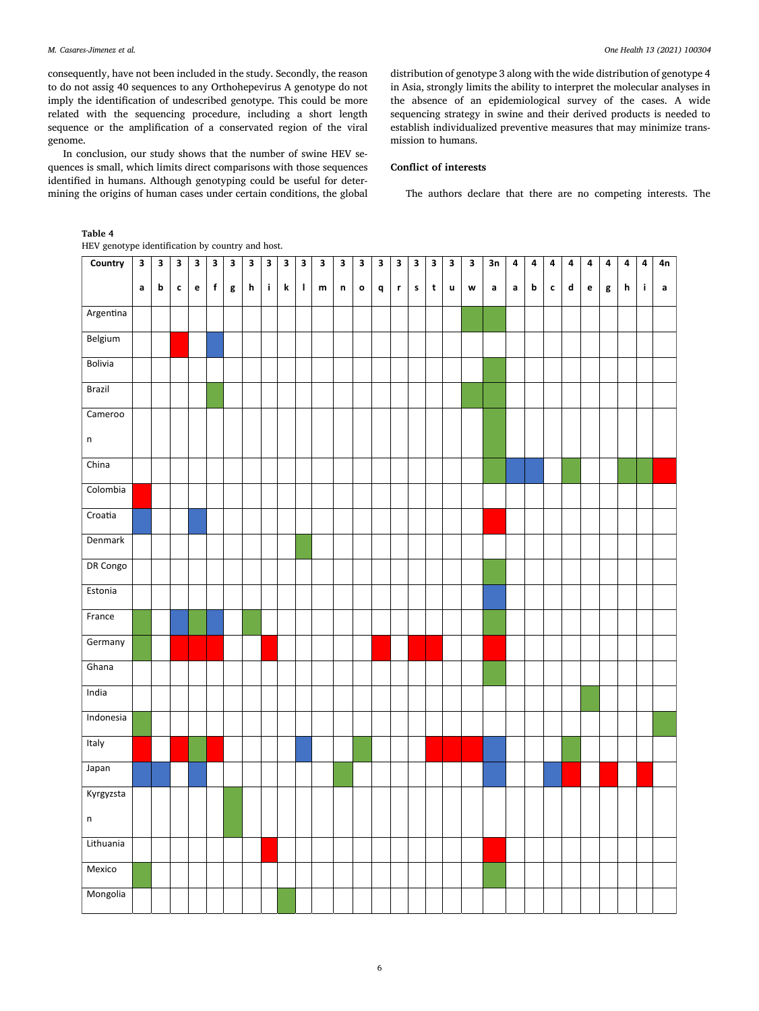<span id="page-5-0"></span>consequently, have not been included in the study. Secondly, the reason to do not assig 40 sequences to any Orthohepevirus A genotype do not imply the identification of undescribed genotype. This could be more related with the sequencing procedure, including a short length sequence or the amplification of a conservated region of the viral genome.

In conclusion, our study shows that the number of swine HEV sequences is small, which limits direct comparisons with those sequences identified in humans. Although genotyping could be useful for determining the origins of human cases under certain conditions, the global distribution of genotype 3 along with the wide distribution of genotype 4 in Asia, strongly limits the ability to interpret the molecular analyses in the absence of an epidemiological survey of the cases. A wide sequencing strategy in swine and their derived products is needed to establish individualized preventive measures that may minimize transmission to humans.

## **Conflict of interests**

The authors declare that there are no competing interests. The

# **Table 4**

HEV genotype identification by country and host.

| Country   | $\mathbf{3}$ | $\mathbf{3}$ | $\mathbf{3}$ | 3            | $\mathbf 3$ | $\mathbf 3$ | 3 | 3           | 3       | 3           | 3             | 3           | 3            | 3 | 3           | 3                         | 3           | $\mathbf{3}$ | 3 | 3n          | 4           | 4 | 4           | 4 | 4 | 4 | 4           | 4           | 4n          |
|-----------|--------------|--------------|--------------|--------------|-------------|-------------|---|-------------|---------|-------------|---------------|-------------|--------------|---|-------------|---------------------------|-------------|--------------|---|-------------|-------------|---|-------------|---|---|---|-------------|-------------|-------------|
|           | $\mathsf{a}$ | $\mathbf b$  | $\mathbf{c}$ | $\mathbf{e}$ | $\mathbf f$ | g           | h | $\mathbf i$ | $\bf k$ | $\mathbf I$ | ${\mathsf m}$ | $\mathsf n$ | $\mathbf{o}$ | q | $\mathbf r$ | $\boldsymbol{\mathsf{s}}$ | $\mathbf t$ | $\sf u$      | W | $\mathsf a$ | $\mathsf a$ | b | $\mathbf c$ | d | e | g | $\mathbf h$ | $\mathbf i$ | $\mathsf a$ |
| Argentina |              |              |              |              |             |             |   |             |         |             |               |             |              |   |             |                           |             |              |   |             |             |   |             |   |   |   |             |             |             |
| Belgium   |              |              |              |              |             |             |   |             |         |             |               |             |              |   |             |                           |             |              |   |             |             |   |             |   |   |   |             |             |             |
| Bolivia   |              |              |              |              |             |             |   |             |         |             |               |             |              |   |             |                           |             |              |   |             |             |   |             |   |   |   |             |             |             |
| Brazil    |              |              |              |              |             |             |   |             |         |             |               |             |              |   |             |                           |             |              |   |             |             |   |             |   |   |   |             |             |             |
| Cameroo   |              |              |              |              |             |             |   |             |         |             |               |             |              |   |             |                           |             |              |   |             |             |   |             |   |   |   |             |             |             |
| $\sf n$   |              |              |              |              |             |             |   |             |         |             |               |             |              |   |             |                           |             |              |   |             |             |   |             |   |   |   |             |             |             |
| China     |              |              |              |              |             |             |   |             |         |             |               |             |              |   |             |                           |             |              |   |             |             |   |             |   |   |   |             |             |             |
| Colombia  |              |              |              |              |             |             |   |             |         |             |               |             |              |   |             |                           |             |              |   |             |             |   |             |   |   |   |             |             |             |
| Croatia   |              |              |              |              |             |             |   |             |         |             |               |             |              |   |             |                           |             |              |   |             |             |   |             |   |   |   |             |             |             |
| Denmark   |              |              |              |              |             |             |   |             |         |             |               |             |              |   |             |                           |             |              |   |             |             |   |             |   |   |   |             |             |             |
| DR Congo  |              |              |              |              |             |             |   |             |         |             |               |             |              |   |             |                           |             |              |   |             |             |   |             |   |   |   |             |             |             |
| Estonia   |              |              |              |              |             |             |   |             |         |             |               |             |              |   |             |                           |             |              |   |             |             |   |             |   |   |   |             |             |             |
| France    |              |              |              |              |             |             |   |             |         |             |               |             |              |   |             |                           |             |              |   |             |             |   |             |   |   |   |             |             |             |
| Germany   |              |              |              |              |             |             |   |             |         |             |               |             |              |   |             |                           |             |              |   |             |             |   |             |   |   |   |             |             |             |
| Ghana     |              |              |              |              |             |             |   |             |         |             |               |             |              |   |             |                           |             |              |   |             |             |   |             |   |   |   |             |             |             |
| India     |              |              |              |              |             |             |   |             |         |             |               |             |              |   |             |                           |             |              |   |             |             |   |             |   |   |   |             |             |             |
| Indonesia |              |              |              |              |             |             |   |             |         |             |               |             |              |   |             |                           |             |              |   |             |             |   |             |   |   |   |             |             |             |
| Italy     |              |              |              |              |             |             |   |             |         |             |               |             |              |   |             |                           |             |              |   |             |             |   |             |   |   |   |             |             |             |
| Japan     |              |              |              |              |             |             |   |             |         |             |               |             |              |   |             |                           |             |              |   |             |             |   |             |   |   |   |             |             |             |
| Kyrgyzsta |              |              |              |              |             |             |   |             |         |             |               |             |              |   |             |                           |             |              |   |             |             |   |             |   |   |   |             |             |             |
| $\sf n$   |              |              |              |              |             |             |   |             |         |             |               |             |              |   |             |                           |             |              |   |             |             |   |             |   |   |   |             |             |             |
| Lithuania |              |              |              |              |             |             |   |             |         |             |               |             |              |   |             |                           |             |              |   |             |             |   |             |   |   |   |             |             |             |
| Mexico    |              |              |              |              |             |             |   |             |         |             |               |             |              |   |             |                           |             |              |   |             |             |   |             |   |   |   |             |             |             |
| Mongolia  |              |              |              |              |             |             |   |             |         |             |               |             |              |   |             |                           |             |              |   |             |             |   |             |   |   |   |             |             |             |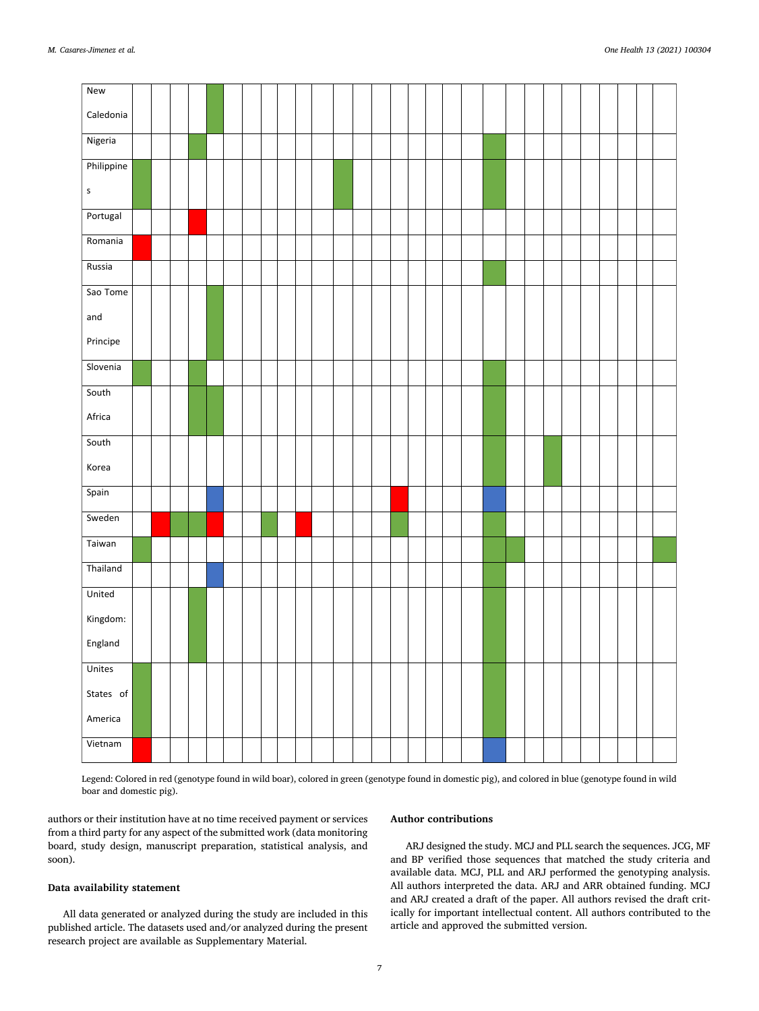| New                           |  |  |  |  |  |  |  |  |  |  |  |  |  |  |  |
|-------------------------------|--|--|--|--|--|--|--|--|--|--|--|--|--|--|--|
| Caledonia                     |  |  |  |  |  |  |  |  |  |  |  |  |  |  |  |
| Nigeria                       |  |  |  |  |  |  |  |  |  |  |  |  |  |  |  |
| Philippine                    |  |  |  |  |  |  |  |  |  |  |  |  |  |  |  |
| $\sf S$                       |  |  |  |  |  |  |  |  |  |  |  |  |  |  |  |
| Portugal                      |  |  |  |  |  |  |  |  |  |  |  |  |  |  |  |
| Romania                       |  |  |  |  |  |  |  |  |  |  |  |  |  |  |  |
| Russia                        |  |  |  |  |  |  |  |  |  |  |  |  |  |  |  |
| Sao Tome                      |  |  |  |  |  |  |  |  |  |  |  |  |  |  |  |
| $\operatorname{\mathsf{and}}$ |  |  |  |  |  |  |  |  |  |  |  |  |  |  |  |
| Principe                      |  |  |  |  |  |  |  |  |  |  |  |  |  |  |  |
| Slovenia                      |  |  |  |  |  |  |  |  |  |  |  |  |  |  |  |
| South                         |  |  |  |  |  |  |  |  |  |  |  |  |  |  |  |
| Africa                        |  |  |  |  |  |  |  |  |  |  |  |  |  |  |  |
| South                         |  |  |  |  |  |  |  |  |  |  |  |  |  |  |  |
| Korea                         |  |  |  |  |  |  |  |  |  |  |  |  |  |  |  |
| Spain                         |  |  |  |  |  |  |  |  |  |  |  |  |  |  |  |
| Sweden                        |  |  |  |  |  |  |  |  |  |  |  |  |  |  |  |
| Taiwan                        |  |  |  |  |  |  |  |  |  |  |  |  |  |  |  |
| Thailand                      |  |  |  |  |  |  |  |  |  |  |  |  |  |  |  |
| United                        |  |  |  |  |  |  |  |  |  |  |  |  |  |  |  |
| Kingdom:                      |  |  |  |  |  |  |  |  |  |  |  |  |  |  |  |
| England                       |  |  |  |  |  |  |  |  |  |  |  |  |  |  |  |
| Unites                        |  |  |  |  |  |  |  |  |  |  |  |  |  |  |  |
| States of                     |  |  |  |  |  |  |  |  |  |  |  |  |  |  |  |
| America                       |  |  |  |  |  |  |  |  |  |  |  |  |  |  |  |
| Vietnam                       |  |  |  |  |  |  |  |  |  |  |  |  |  |  |  |

Legend: Colored in red (genotype found in wild boar), colored in green (genotype found in domestic pig), and colored in blue (genotype found in wild boar and domestic pig).

authors or their institution have at no time received payment or services from a third party for any aspect of the submitted work (data monitoring board, study design, manuscript preparation, statistical analysis, and soon).

## **Data availability statement**

All data generated or analyzed during the study are included in this published article. The datasets used and/or analyzed during the present research project are available as Supplementary Material.

# **Author contributions**

ARJ designed the study. MCJ and PLL search the sequences. JCG, MF and BP verified those sequences that matched the study criteria and available data. MCJ, PLL and ARJ performed the genotyping analysis. All authors interpreted the data. ARJ and ARR obtained funding. MCJ and ARJ created a draft of the paper. All authors revised the draft critically for important intellectual content. All authors contributed to the article and approved the submitted version.